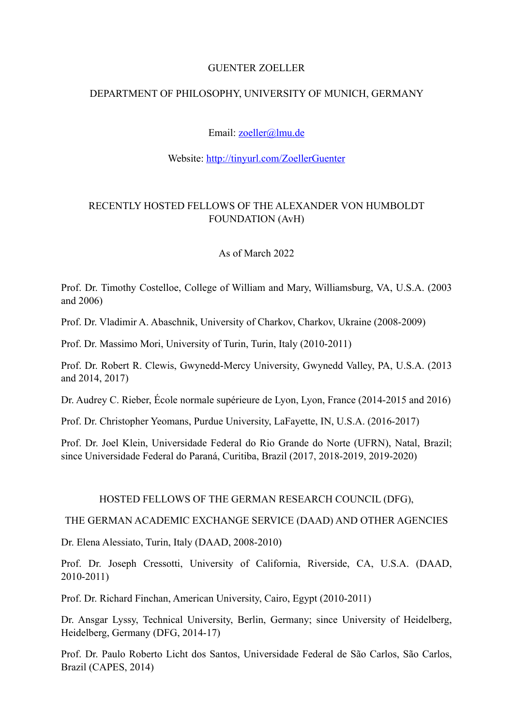#### GUENTER ZOELLER

## DEPARTMENT OF PHILOSOPHY, UNIVERSITY OF MUNICH, GERMANY

# Email: [zoeller@lmu.de](mailto:zoeller@lmu.de)

## Website:<http://tinyurl.com/ZoellerGuenter>

# RECENTLY HOSTED FELLOWS OF THE ALEXANDER VON HUMBOLDT FOUNDATION (AvH)

# As of March 2022

Prof. Dr. Timothy Costelloe, College of William and Mary, Williamsburg, VA, U.S.A. (2003 and 2006)

Prof. Dr. Vladimir A. Abaschnik, University of Charkov, Charkov, Ukraine (2008-2009)

Prof. Dr. Massimo Mori, University of Turin, Turin, Italy (2010-2011)

Prof. Dr. Robert R. Clewis, Gwynedd-Mercy University, Gwynedd Valley, PA, U.S.A. (2013 and 2014, 2017)

Dr. Audrey C. Rieber, École normale supérieure de Lyon, Lyon, France (2014-2015 and 2016)

Prof. Dr. Christopher Yeomans, Purdue University, LaFayette, IN, U.S.A. (2016-2017)

Prof. Dr. Joel Klein, Universidade Federal do Rio Grande do Norte (UFRN), Natal, Brazil; since Universidade Federal do Paraná, Curitiba, Brazil (2017, 2018-2019, 2019-2020)

#### HOSTED FELLOWS OF THE GERMAN RESEARCH COUNCIL (DFG),

THE GERMAN ACADEMIC EXCHANGE SERVICE (DAAD) AND OTHER AGENCIES

Dr. Elena Alessiato, Turin, Italy (DAAD, 2008-2010)

Prof. Dr. Joseph Cressotti, University of California, Riverside, CA, U.S.A. (DAAD, 2010-2011)

Prof. Dr. Richard Finchan, American University, Cairo, Egypt (2010-2011)

Dr. Ansgar Lyssy, Technical University, Berlin, Germany; since University of Heidelberg, Heidelberg, Germany (DFG, 2014-17)

Prof. Dr. Paulo Roberto Licht dos Santos, Universidade Federal de São Carlos, São Carlos, Brazil (CAPES, 2014)